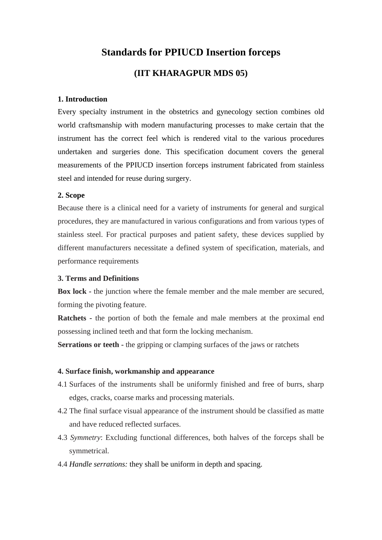# **Standards for PPIUCD Insertion forceps (IIT KHARAGPUR MDS 05)**

#### **1. Introduction**

Every specialty instrument in the obstetrics and gynecology section combines old world craftsmanship with modern manufacturing processes to make certain that the instrument has the correct feel which is rendered vital to the various procedures undertaken and surgeries done. This specification document covers the general measurements of the PPIUCD insertion forceps instrument fabricated from stainless steel and intended for reuse during surgery.

#### **2. Scope**

Because there is a clinical need for a variety of instruments for general and surgical procedures, they are manufactured in various configurations and from various types of stainless steel. For practical purposes and patient safety, these devices supplied by different manufacturers necessitate a defined system of specification, materials, and performance requirements

#### **3. Terms and Definitions**

**Box lock -** the junction where the female member and the male member are secured, forming the pivoting feature.

**Ratchets -** the portion of both the female and male members at the proximal end possessing inclined teeth and that form the locking mechanism.

**Serrations or teeth -** the gripping or clamping surfaces of the jaws or ratchets

#### **4. Surface finish, workmanship and appearance**

- 4.1 Surfaces of the instruments shall be uniformly finished and free of burrs, sharp edges, cracks, coarse marks and processing materials.
- 4.2 The final surface visual appearance of the instrument should be classified as matte and have reduced reflected surfaces.
- 4.3 *Symmetry*: Excluding functional differences, both halves of the forceps shall be symmetrical.
- 4.4 *Handle serrations:* they shall be uniform in depth and spacing.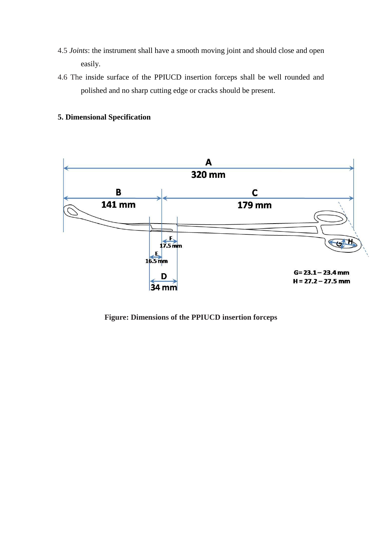- 4.5 *Joints*: the instrument shall have a smooth moving joint and should close and open easily.
- 4.6 The inside surface of the PPIUCD insertion forceps shall be well rounded and polished and no sharp cutting edge or cracks should be present.

# **5. Dimensional Specification**



**Figure: Dimensions of the PPIUCD insertion forceps**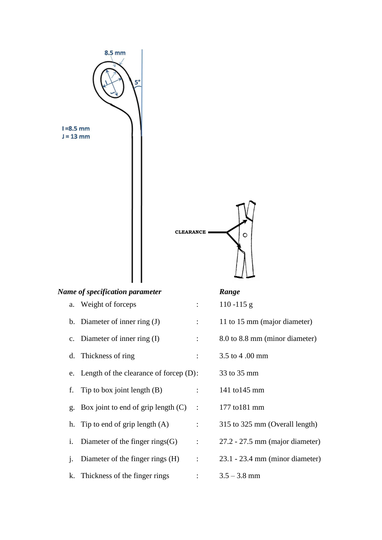

|    | Name of specification parameter              |                           | Range                             |
|----|----------------------------------------------|---------------------------|-----------------------------------|
|    | a. Weight of forceps                         | $\mathbb{R}^{\mathbb{Z}}$ | $110 - 115$ g                     |
|    | b. Diameter of inner ring $(J)$              | $\ddot{\cdot}$            | 11 to 15 mm (major diameter)      |
|    | c. Diameter of inner ring $(I)$              | $\ddot{\cdot}$            | 8.0 to 8.8 mm (minor diameter)    |
|    | d. Thickness of ring                         | $\ddot{\phantom{a}}$      | 3.5 to 4.00 mm                    |
|    | e. Length of the clearance of forcep $(D)$ : |                           | 33 to 35 mm                       |
| f. | Tip to box joint length $(B)$                | ÷                         | 141 to 145 mm                     |
|    | g. Box joint to end of grip length $(C)$     | $\cdot$ :                 | 177 to 181 mm                     |
|    | h. Tip to end of grip length $(A)$           | $\ddot{\phantom{a}}$      | 315 to 325 mm (Overall length)    |
| i. | Diameter of the finger rings $(G)$           | $\ddot{\cdot}$            | $27.2 - 27.5$ mm (major diameter) |
| 1. | Diameter of the finger rings (H)             | $\therefore$              | $23.1 - 23.4$ mm (minor diameter) |
|    | k. Thickness of the finger rings             | $\bullet$                 | $3.5 - 3.8$ mm                    |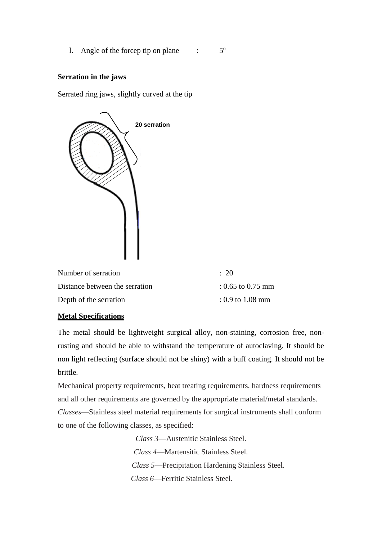1. Angle of the forcep tip on plane  $\cdot$  5°

## **Serration in the jaws**

Serrated ring jaws, slightly curved at the tip



| Number of serration            | $\div$ 20           |
|--------------------------------|---------------------|
| Distance between the serration | $: 0.65$ to 0.75 mm |
| Depth of the serration         | $: 0.9$ to 1.08 mm  |

## **Metal Specifications**

The metal should be lightweight surgical alloy, non-staining, corrosion free, nonrusting and should be able to withstand the temperature of autoclaving. It should be non light reflecting (surface should not be shiny) with a buff coating. It should not be brittle.

Mechanical property requirements, heat treating requirements, hardness requirements and all other requirements are governed by the appropriate material/metal standards. *Classes*—Stainless steel material requirements for surgical instruments shall conform to one of the following classes, as specified:

*Class 3*—Austenitic Stainless Steel.

*Class 4*—Martensitic Stainless Steel.

 *Class 5*—Precipitation Hardening Stainless Steel.

 *Class 6*—Ferritic Stainless Steel.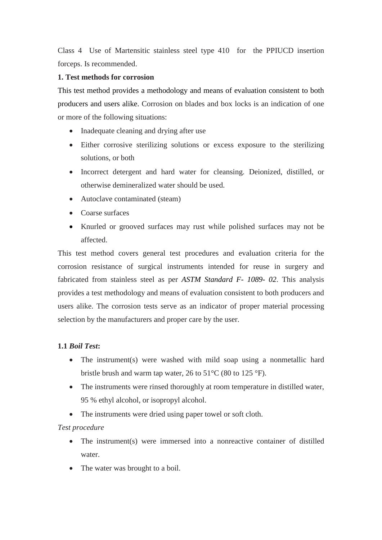Class 4 Use of Martensitic stainless steel type 410 for the PPIUCD insertion forceps. Is recommended.

## **1. Test methods for corrosion**

This test method provides a methodology and means of evaluation consistent to both producers and users alike. Corrosion on blades and box locks is an indication of one or more of the following situations:

- Inadequate cleaning and drying after use
- Either corrosive sterilizing solutions or excess exposure to the sterilizing solutions, or both
- Incorrect detergent and hard water for cleansing. Deionized, distilled, or otherwise demineralized water should be used.
- Autoclave contaminated (steam)
- Coarse surfaces
- Knurled or grooved surfaces may rust while polished surfaces may not be affected.

This test method covers general test procedures and evaluation criteria for the corrosion resistance of surgical instruments intended for reuse in surgery and fabricated from stainless steel as per *ASTM Standard F- 1089- 02*. This analysis provides a test methodology and means of evaluation consistent to both producers and users alike. The corrosion tests serve as an indicator of proper material processing selection by the manufacturers and proper care by the user.

# **1.1** *Boil Test***:**

- The instrument(s) were washed with mild soap using a nonmetallic hard bristle brush and warm tap water, 26 to  $51^{\circ}$ C (80 to 125  $^{\circ}$ F).
- The instruments were rinsed thoroughly at room temperature in distilled water, 95 % ethyl alcohol, or isopropyl alcohol.
- The instruments were dried using paper towel or soft cloth.

# *Test procedure*

- The instrument(s) were immersed into a nonreactive container of distilled water.
- The water was brought to a boil.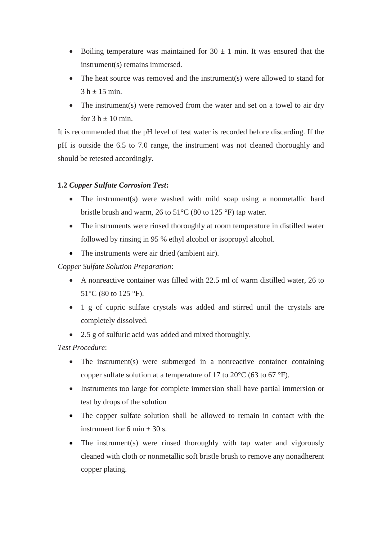- Boiling temperature was maintained for  $30 \pm 1$  min. It was ensured that the instrument(s) remains immersed.
- The heat source was removed and the instrument(s) were allowed to stand for  $3 h \pm 15$  min.
- The instrument(s) were removed from the water and set on a towel to air dry for  $3 h \pm 10$  min.

It is recommended that the pH level of test water is recorded before discarding. If the pH is outside the 6.5 to 7.0 range, the instrument was not cleaned thoroughly and should be retested accordingly.

# **1.2** *Copper Sulfate Corrosion Test***:**

- The instrument(s) were washed with mild soap using a nonmetallic hard bristle brush and warm, 26 to 51°C (80 to 125 °F) tap water.
- The instruments were rinsed thoroughly at room temperature in distilled water followed by rinsing in 95 % ethyl alcohol or isopropyl alcohol.
- The instruments were air dried (ambient air).

*Copper Sulfate Solution Preparation*:

- A nonreactive container was filled with 22.5 ml of warm distilled water, 26 to 51 $\rm{^{\circ}C}$  (80 to 125 $\rm{^{\circ}F}$ ).
- 1 g of cupric sulfate crystals was added and stirred until the crystals are completely dissolved.
- 2.5 g of sulfuric acid was added and mixed thoroughly.

*Test Procedure*:

- The instrument(s) were submerged in a nonreactive container containing copper sulfate solution at a temperature of 17 to 20°C (63 to 67 °F).
- Instruments too large for complete immersion shall have partial immersion or test by drops of the solution
- The copper sulfate solution shall be allowed to remain in contact with the instrument for 6 min  $\pm$  30 s.
- The instrument(s) were rinsed thoroughly with tap water and vigorously cleaned with cloth or nonmetallic soft bristle brush to remove any nonadherent copper plating.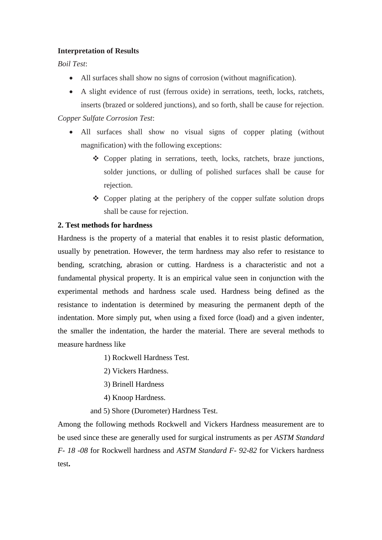## **Interpretation of Results**

*Boil Test*:

- All surfaces shall show no signs of corrosion (without magnification).
- A slight evidence of rust (ferrous oxide) in serrations, teeth, locks, ratchets, inserts (brazed or soldered junctions), and so forth, shall be cause for rejection.

# *Copper Sulfate Corrosion Test*:

- All surfaces shall show no visual signs of copper plating (without magnification) with the following exceptions:
	- Copper plating in serrations, teeth, locks, ratchets, braze junctions, solder junctions, or dulling of polished surfaces shall be cause for rejection.
	- $\triangle$  Copper plating at the periphery of the copper sulfate solution drops shall be cause for rejection.

## **2. Test methods for hardness**

Hardness is the property of a material that enables it to resist plastic deformation, usually by penetration. However, the term hardness may also refer to resistance to bending, scratching, abrasion or cutting. Hardness is a characteristic and not a fundamental physical property. It is an empirical value seen in conjunction with the experimental methods and hardness scale used. Hardness being defined as the resistance to indentation is determined by measuring the permanent depth of the indentation. More simply put, when using a fixed force (load) and a given indenter, the smaller the indentation, the harder the material. There are several methods to measure hardness like

- 1) Rockwell Hardness Test.
- 2) Vickers Hardness.
- 3) Brinell Hardness
- 4) Knoop Hardness.
- and 5) Shore (Durometer) Hardness Test.

Among the following methods Rockwell and Vickers Hardness measurement are to be used since these are generally used for surgical instruments as per *ASTM Standard F- 18 -08* for Rockwell hardness and *ASTM Standard F- 92-82* for Vickers hardness test**.**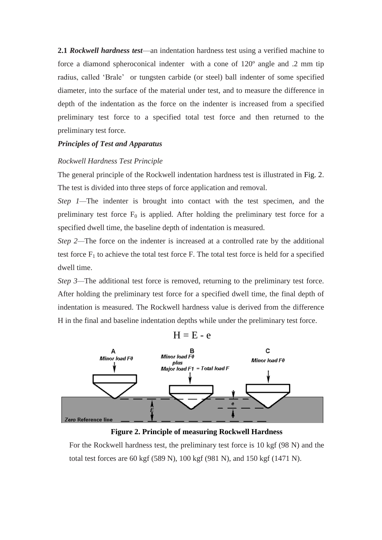**2.1** *Rockwell hardness test*—an indentation hardness test using a verified machine to force a diamond spheroconical indenter with a cone of 120º angle and .2 mm tip radius, called 'Brale' or tungsten carbide (or steel) ball indenter of some specified diameter, into the surface of the material under test, and to measure the difference in depth of the indentation as the force on the indenter is increased from a specified preliminary test force to a specified total test force and then returned to the preliminary test force.

## *Principles of Test and Apparatus*

#### *Rockwell Hardness Test Principle*

The general principle of the Rockwell indentation hardness test is illustrated in Fig. 2. The test is divided into three steps of force application and removal.

*Step 1—The indenter is brought into contact with the test specimen, and the* preliminary test force  $F_0$  is applied. After holding the preliminary test force for a specified dwell time, the baseline depth of indentation is measured.

*Step 2—The force on the indenter is increased at a controlled rate by the additional* test force  $F_1$  to achieve the total test force F. The total test force is held for a specified dwell time.

*Step 3*—The additional test force is removed, returning to the preliminary test force. After holding the preliminary test force for a specified dwell time, the final depth of indentation is measured. The Rockwell hardness value is derived from the difference H in the final and baseline indentation depths while under the preliminary test force.





For the Rockwell hardness test, the preliminary test force is 10 kgf (98 N) and the total test forces are 60 kgf (589 N), 100 kgf (981 N), and 150 kgf (1471 N).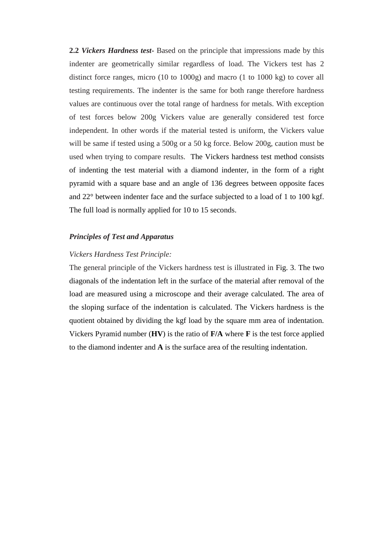**2.2** *Vickers Hardness test***-** Based on the principle that impressions made by this indenter are geometrically similar regardless of load. The Vickers test has 2 distinct force ranges, micro (10 to 1000g) and macro (1 to 1000 kg) to cover all testing requirements. The indenter is the same for both range therefore hardness values are continuous over the total range of hardness for metals. With exception of test forces below 200g Vickers value are generally considered test force independent. In other words if the material tested is uniform, the Vickers value will be same if tested using a 500g or a 50 kg force. Below 200g, caution must be used when trying to compare results. The Vickers hardness test method consists of indenting the test material with a diamond indenter, in the form of a right pyramid with a square base and an angle of 136 degrees between opposite faces and 22° between indenter face and the surface subjected to a load of 1 to 100 kgf. The full load is normally applied for 10 to 15 seconds.

#### *Principles of Test and Apparatus*

#### *Vickers Hardness Test Principle:*

The general principle of the Vickers hardness test is illustrated in Fig. 3. The two diagonals of the indentation left in the surface of the material after removal of the load are measured using a microscope and their average calculated. The area of the sloping surface of the indentation is calculated. The Vickers hardness is the quotient obtained by dividing the kgf load by the square mm area of indentation. Vickers Pyramid number (**HV**) is the ratio of **F/A** where **F** is the test force applied to the diamond indenter and **A** is the surface area of the resulting indentation.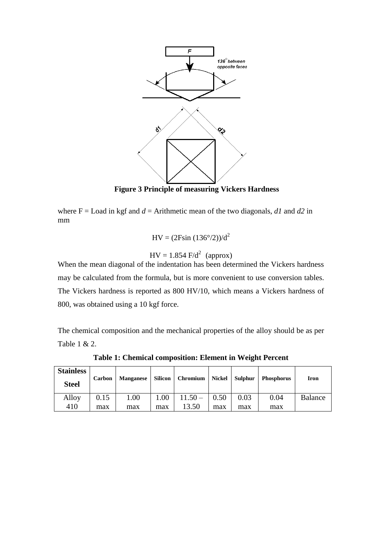

**Figure 3 Principle of measuring Vickers Hardness**

where  $F =$  Load in kgf and  $d =$  Arithmetic mean of the two diagonals,  $dI$  and  $d2$  in mm

$$
HV = (2F\sin(136^{\circ}/2))/d^2
$$

 $HV = 1.854 \text{ F/d}^2 \text{ (approx)}$ 

When the mean diagonal of the indentation has been determined the Vickers hardness may be calculated from the formula, but is more convenient to use conversion tables. The Vickers hardness is reported as 800 HV/10, which means a Vickers hardness of 800, was obtained using a 10 kgf force.

The chemical composition and the mechanical properties of the alloy should be as per Table 1 & 2.

**Stainless Steel Carbon Manganese Silicon Chromium Nickel Sulphur Phosphorus Iron** Alloy 410 0.15 max 1.00 max 1.00 max  $\overline{11.50}$  – 13.50 0.50 max 0.03 max 0.04 max Balance

**Table 1: Chemical composition: Element in Weight Percent**